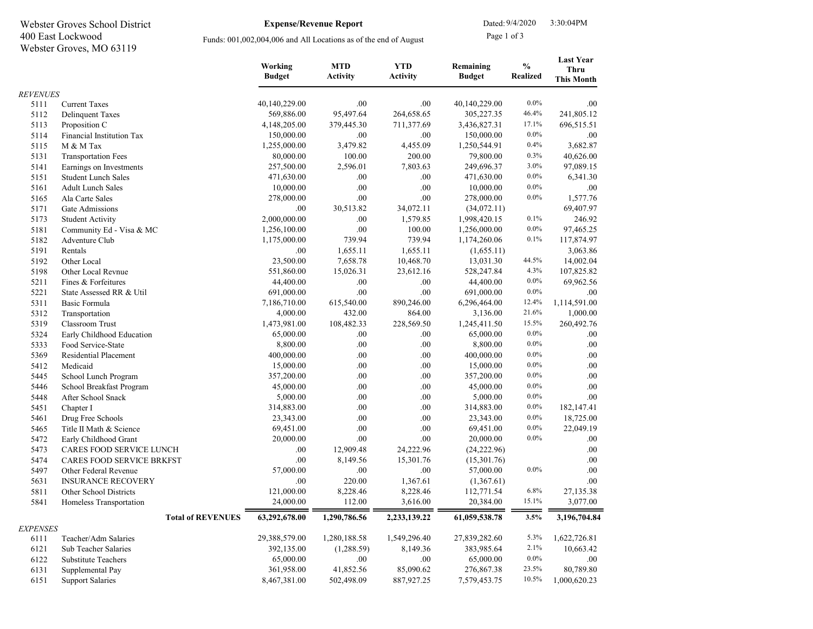| 400 East Lockwood<br>Webster Groves, MO 63119 |                                  | Funds: 001,002,004,006 and All Locations as of the end of August |                               |                               | Page 1 of 3                |                                  |                                                      |  |  |  |
|-----------------------------------------------|----------------------------------|------------------------------------------------------------------|-------------------------------|-------------------------------|----------------------------|----------------------------------|------------------------------------------------------|--|--|--|
|                                               |                                  | Working<br><b>Budget</b>                                         | <b>MTD</b><br><b>Activity</b> | <b>YTD</b><br><b>Activity</b> | Remaining<br><b>Budget</b> | $\frac{0}{0}$<br><b>Realized</b> | <b>Last Year</b><br><b>Thru</b><br><b>This Month</b> |  |  |  |
| <b>REVENUES</b>                               |                                  |                                                                  |                               |                               |                            |                                  |                                                      |  |  |  |
| 5111                                          | <b>Current Taxes</b>             | 40,140,229.00                                                    | .00                           | .00                           | 40,140,229.00              | $0.0\%$                          | .00                                                  |  |  |  |
| 5112                                          | <b>Delinquent Taxes</b>          | 569,886.00                                                       | 95,497.64                     | 264,658.65                    | 305,227.35                 | 46.4%                            | 241,805.12                                           |  |  |  |
| 5113                                          | Proposition C                    | 4,148,205.00                                                     | 379,445.30                    | 711,377.69                    | 3,436,827.31               | 17.1%                            | 696,515.51                                           |  |  |  |
| 5114                                          | Financial Institution Tax        | 150,000.00                                                       | .00                           | .00                           | 150,000.00                 | $0.0\%$                          | .00                                                  |  |  |  |
| 5115                                          | M & M Tax                        | 1,255,000.00                                                     | 3,479.82                      | 4,455.09                      | 1,250,544.91               | 0.4%                             | 3,682.87                                             |  |  |  |
| 5131                                          | <b>Transportation Fees</b>       | 80,000.00                                                        | 100.00                        | 200.00                        | 79,800.00                  | 0.3%                             | 40,626.00                                            |  |  |  |
| 5141                                          | Earnings on Investments          | 257,500.00                                                       | 2,596.01                      | 7,803.63                      | 249,696.37                 | 3.0%                             | 97,089.15                                            |  |  |  |
| 5151                                          | <b>Student Lunch Sales</b>       | 471,630.00                                                       | .00                           | .00                           | 471,630.00                 | $0.0\%$                          | 6,341.30                                             |  |  |  |
| 5161                                          | <b>Adult Lunch Sales</b>         | 10,000.00                                                        | .00                           | .00                           | 10,000.00                  | $0.0\%$                          | .00                                                  |  |  |  |
| 5165                                          | Ala Carte Sales                  | 278,000.00                                                       | .00                           | .00                           | 278,000.00                 | $0.0\%$                          | 1,577.76                                             |  |  |  |
| 5171                                          | Gate Admissions                  | .00                                                              | 30,513.82                     | 34,072.11                     | (34,072.11)                |                                  | 69,407.97                                            |  |  |  |
| 5173                                          | <b>Student Activity</b>          | 2,000,000.00                                                     | .00                           | 1,579.85                      | 1,998,420.15               | 0.1%                             | 246.92                                               |  |  |  |
| 5181                                          | Community Ed - Visa & MC         | 1,256,100.00                                                     | .00                           | 100.00                        | 1,256,000.00               | $0.0\%$                          | 97,465.25                                            |  |  |  |
| 5182                                          | Adventure Club                   | 1,175,000.00                                                     | 739.94                        | 739.94                        | 1,174,260.06               | 0.1%                             | 117,874.97                                           |  |  |  |
| 5191                                          | Rentals                          | .00                                                              | 1,655.11                      | 1,655.11                      | (1,655.11)                 |                                  | 3,063.86                                             |  |  |  |
| 5192                                          | Other Local                      | 23,500.00                                                        | 7,658.78                      | 10,468.70                     | 13,031.30                  | 44.5%                            | 14,002.04                                            |  |  |  |
| 5198                                          | Other Local Revnue               | 551,860.00                                                       | 15,026.31                     | 23,612.16                     | 528,247.84                 | 4.3%                             | 107,825.82                                           |  |  |  |
| 5211                                          | Fines & Forfeitures              | 44,400.00                                                        | .00                           | .00                           | 44,400.00                  | $0.0\%$                          | 69,962.56                                            |  |  |  |
| 5221                                          | State Assessed RR & Util         | 691,000.00                                                       | .00                           | .00                           | 691,000.00                 | $0.0\%$                          | .00                                                  |  |  |  |
| 5311                                          | Basic Formula                    | 7,186,710.00                                                     | 615,540.00                    | 890,246.00                    | 6,296,464.00               | 12.4%                            | 1,114,591.00                                         |  |  |  |
| 5312                                          | Transportation                   | 4,000.00                                                         | 432.00                        | 864.00                        | 3,136.00                   | 21.6%                            | 1,000.00                                             |  |  |  |
| 5319                                          | <b>Classroom Trust</b>           | 1,473,981.00                                                     | 108,482.33                    | 228,569.50                    | 1,245,411.50               | 15.5%                            | 260,492.76                                           |  |  |  |
| 5324                                          | Early Childhood Education        | 65,000.00                                                        | .00                           | .00.                          | 65,000.00                  | $0.0\%$                          | .00                                                  |  |  |  |
| 5333                                          | Food Service-State               | 8,800.00                                                         | .00                           | $.00\,$                       | 8,800.00                   | $0.0\%$                          | .00                                                  |  |  |  |
| 5369                                          | Residential Placement            | 400,000.00                                                       | .00                           | .00                           | 400,000.00                 | $0.0\%$                          | .00                                                  |  |  |  |
| 5412                                          | Medicaid                         | 15,000.00                                                        | .00                           | .00                           | 15,000.00                  | $0.0\%$                          | .00                                                  |  |  |  |
| 5445                                          | School Lunch Program             | 357,200.00                                                       | .00                           | .00                           | 357,200.00                 | $0.0\%$                          | .00                                                  |  |  |  |
| 5446                                          | School Breakfast Program         | 45,000.00                                                        | .00                           | .00                           | 45,000.00                  | $0.0\%$                          | .00                                                  |  |  |  |
| 5448                                          | After School Snack               | 5,000.00                                                         | .00                           | .00.                          | 5,000.00                   | $0.0\%$                          | .00                                                  |  |  |  |
| 5451                                          | Chapter I                        | 314,883.00                                                       | .00                           | .00                           | 314,883.00                 | $0.0\%$                          | 182,147.41                                           |  |  |  |
| 5461                                          | Drug Free Schools                | 23,343.00                                                        | .00                           | .00                           | 23,343.00                  | $0.0\%$                          | 18,725.00                                            |  |  |  |
| 5465                                          | Title II Math & Science          | 69,451.00                                                        | .00                           | .00                           | 69,451.00                  | $0.0\%$                          | 22,049.19                                            |  |  |  |
| 5472                                          | Early Childhood Grant            | 20,000.00                                                        | .00                           | .00                           | 20,000.00                  | $0.0\%$                          | .00                                                  |  |  |  |
| 5473                                          | CARES FOOD SERVICE LUNCH         | .00                                                              | 12,909.48                     | 24,222.96                     | (24, 222.96)               |                                  | .00                                                  |  |  |  |
| 5474                                          | <b>CARES FOOD SERVICE BRKFST</b> | .00                                                              | 8,149.56                      | 15,301.76                     | (15,301.76)                |                                  | .00                                                  |  |  |  |
| 5497                                          | Other Federal Revenue            | 57.000.00                                                        | 00                            | 00                            | 57.000.00                  | $0.0\%$                          | 00                                                   |  |  |  |

EXPENSES

| 5173          | <b>Student Activity</b>          | 2,000,000.00  | .00          | 1,579.85     | 1,998,420.15  | 0.1%    | 246.92       |
|---------------|----------------------------------|---------------|--------------|--------------|---------------|---------|--------------|
| 5181          | Community Ed - Visa & MC         | 1,256,100.00  | .00          | 100.00       | 1,256,000.00  | $0.0\%$ | 97,465.25    |
| 5182          | Adventure Club                   | 1,175,000.00  | 739.94       | 739.94       | 1,174,260.06  | 0.1%    | 117,874.97   |
| 5191          | Rentals                          | .00           | 1,655.11     | 1,655.11     | (1,655.11)    |         | 3,063.86     |
| 5192          | Other Local                      | 23,500.00     | 7,658.78     | 10,468.70    | 13,031.30     | 44.5%   | 14,002.04    |
| 5198          | Other Local Revnue               | 551,860.00    | 15,026.31    | 23,612.16    | 528,247.84    | 4.3%    | 107,825.82   |
| 5211          | Fines & Forfeitures              | 44,400.00     | .00.         | .00          | 44,400.00     | $0.0\%$ | 69,962.56    |
| 5221          | State Assessed RR & Util         | 691,000.00    | .00          | .00          | 691,000.00    | $0.0\%$ | .00          |
| 5311          | Basic Formula                    | 7,186,710.00  | 615,540.00   | 890,246.00   | 6,296,464.00  | 12.4%   | 1,114,591.00 |
| 5312          | Transportation                   | 4,000.00      | 432.00       | 864.00       | 3,136.00      | 21.6%   | 1,000.00     |
| 5319          | Classroom Trust                  | 1,473,981.00  | 108,482.33   | 228,569.50   | 1,245,411.50  | 15.5%   | 260,492.76   |
| 5324          | Early Childhood Education        | 65,000.00     | .00          | .00.         | 65,000.00     | $0.0\%$ | .00.         |
| 5333          | Food Service-State               | 8,800.00      | .00          | .00          | 8,800.00      | $0.0\%$ | .00          |
| 5369          | <b>Residential Placement</b>     | 400,000.00    | .00          | .00          | 400,000.00    | $0.0\%$ | .00          |
| 5412          | Medicaid                         | 15,000.00     | .00          | .00          | 15,000.00     | $0.0\%$ | .00.         |
| 5445          | School Lunch Program             | 357,200.00    | .00          | .00          | 357,200.00    | 0.0%    | .00          |
| 5446          | School Breakfast Program         | 45,000.00     | .00          | .00          | 45,000.00     | 0.0%    | .00          |
| 5448          | After School Snack               | 5,000.00      | .00          | .00          | 5,000.00      | $0.0\%$ | .00          |
| 5451          | Chapter I                        | 314,883.00    | .00          | .00          | 314,883.00    | 0.0%    | 182,147.41   |
| 5461          | Drug Free Schools                | 23,343.00     | .00          | .00          | 23,343.00     | $0.0\%$ | 18,725.00    |
| 5465          | Title II Math & Science          | 69,451.00     | .00          | .00          | 69,451.00     | $0.0\%$ | 22,049.19    |
| 5472          | Early Childhood Grant            | 20,000.00     | .00          | .00          | 20,000.00     | $0.0\%$ | .00.         |
| 5473          | CARES FOOD SERVICE LUNCH         | .00           | 12,909.48    | 24,222.96    | (24, 222.96)  |         | .00          |
| 5474          | <b>CARES FOOD SERVICE BRKFST</b> | .00           | 8,149.56     | 15,301.76    | (15,301.76)   |         | .00          |
| 5497          | Other Federal Revenue            | 57,000.00     | .00          | .00          | 57,000.00     | $0.0\%$ | .00          |
| 5631          | <b>INSURANCE RECOVERY</b>        | .00           | 220.00       | 1,367.61     | (1,367.61)    |         | .00          |
| 5811          | Other School Districts           | 121,000.00    | 8,228.46     | 8,228.46     | 112,771.54    | 6.8%    | 27,135.38    |
| 5841          | Homeless Transportation          | 24,000.00     | 112.00       | 3,616.00     | 20,384.00     | 15.1%   | 3,077.00     |
|               | <b>Total of REVENUES</b>         | 63,292,678.00 | 1,290,786.56 | 2,233,139.22 | 61,059,538.78 | 3.5%    | 3,196,704.84 |
| <b>PENSES</b> |                                  |               |              |              |               |         |              |
| 6111          | Teacher/Adm Salaries             | 29,388,579.00 | 1,280,188.58 | 1,549,296.40 | 27,839,282.60 | 5.3%    | 1,622,726.81 |
| 6121          | Sub Teacher Salaries             | 392,135.00    | (1,288.59)   | 8,149.36     | 383,985.64    | 2.1%    | 10,663.42    |
| 6122          | <b>Substitute Teachers</b>       | 65,000.00     | .00          | .00          | 65,000.00     | $0.0\%$ | .00.         |
| 6131          | Supplemental Pay                 | 361,958.00    | 41,852.56    | 85,090.62    | 276,867.38    | 23.5%   | 80,789.80    |

6151 Support Salaries 8,467,381.00 502,498.09 887,927.25 7,579,453.75 10.5% 1,000,620.23

Expense/Revenue Report

Webster Groves School District **Expense/Revenue Report** Dated: 9/4/2020 3:30:04PM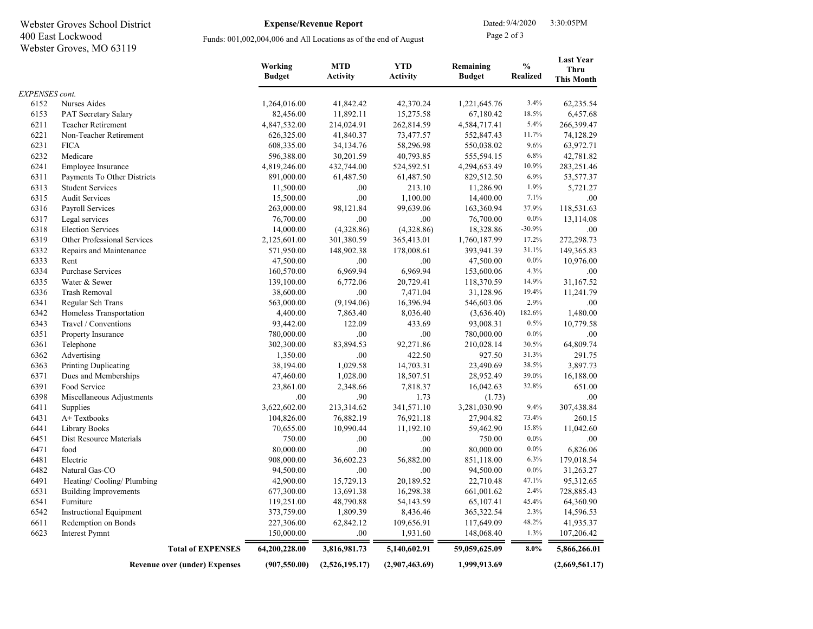| Webster Groves School District<br>400 East Lockwood |                                      |                          | <b>Expense/Revenue Report</b>                                    |                               | Dated: 9/4/2020            |                                  | 3:30:05PM                                            |
|-----------------------------------------------------|--------------------------------------|--------------------------|------------------------------------------------------------------|-------------------------------|----------------------------|----------------------------------|------------------------------------------------------|
|                                                     |                                      |                          | Funds: 001,002,004,006 and All Locations as of the end of August |                               |                            | Page 2 of 3                      |                                                      |
|                                                     | Webster Groves, MO 63119             |                          |                                                                  |                               |                            |                                  |                                                      |
|                                                     |                                      | Working<br><b>Budget</b> | <b>MTD</b><br><b>Activity</b>                                    | <b>YTD</b><br><b>Activity</b> | Remaining<br><b>Budget</b> | $\frac{0}{0}$<br><b>Realized</b> | <b>Last Year</b><br><b>Thru</b><br><b>This Month</b> |
| <b>EXPENSES</b> cont.                               |                                      |                          |                                                                  |                               |                            |                                  |                                                      |
| 6152                                                | Nurses Aides                         | 1,264,016.00             | 41,842.42                                                        | 42,370.24                     | 1,221,645.76               | 3.4%                             | 62,235.54                                            |
| 6153                                                | PAT Secretary Salary                 | 82,456.00                | 11,892.11                                                        | 15,275.58                     | 67,180.42                  | 18.5%                            | 6,457.68                                             |
| 6211                                                | <b>Teacher Retirement</b>            | 4,847,532.00             | 214,024.91                                                       | 262,814.59                    | 4,584,717.41               | 5.4%                             | 266,399.47                                           |
| 6221                                                | Non-Teacher Retirement               | 626,325.00               | 41,840.37                                                        | 73,477.57                     | 552,847.43                 | 11.7%                            | 74,128.29                                            |
| 6231                                                | <b>FICA</b>                          | 608,335.00               | 34,134.76                                                        | 58,296.98                     | 550,038.02                 | 9.6%                             | 63,972.71                                            |
| 6232                                                | Medicare                             | 596,388.00               | 30,201.59                                                        | 40,793.85                     | 555,594.15                 | 6.8%                             | 42,781.82                                            |
| 6241                                                | Employee Insurance                   | 4,819,246.00             | 432,744.00                                                       | 524,592.51                    | 4,294,653.49               | 10.9%                            | 283,251.46                                           |
| 6311                                                | Payments To Other Districts          | 891,000.00               | 61,487.50                                                        | 61,487.50                     | 829,512.50                 | 6.9%                             | 53,577.37                                            |
| 6313                                                | <b>Student Services</b>              | 11,500.00                | .00                                                              | 213.10                        | 11,286.90                  | 1.9%                             | 5,721.27                                             |
| 6315                                                | <b>Audit Services</b>                | 15,500.00                | $.00\,$                                                          | 1,100.00                      | 14,400.00                  | 7.1%                             | .00.                                                 |
| 6316                                                | Payroll Services                     | 263,000.00               | 98,121.84                                                        | 99,639.06                     | 163,360.94                 | 37.9%                            | 118,531.63                                           |
| 6317                                                | Legal services                       | 76,700.00                | .00                                                              | .00                           | 76,700.00                  | $0.0\%$                          | 13,114.08                                            |
| 6318                                                | <b>Election Services</b>             | 14,000.00                | (4,328.86)                                                       | (4,328.86)                    | 18,328.86                  | $-30.9%$                         | .00.                                                 |
| 6319                                                | Other Professional Services          | 2,125,601.00             | 301,380.59                                                       | 365,413.01                    | 1,760,187.99               | 17.2%                            | 272,298.73                                           |
| 6332                                                | Repairs and Maintenance              | 571,950.00               | 148,902.38                                                       | 178,008.61                    | 393,941.39                 | 31.1%                            | 149,365.83                                           |
| 6333                                                | Rent                                 | 47,500.00                | .00                                                              | .00                           | 47,500.00                  | $0.0\%$                          | 10,976.00                                            |
| 6334                                                | Purchase Services                    | 160,570.00               | 6,969.94                                                         | 6,969.94                      | 153,600.06                 | 4.3%                             | .00.                                                 |
| 6335                                                | Water & Sewer                        | 139,100.00               | 6,772.06                                                         | 20,729.41                     | 118,370.59                 | 14.9%                            | 31,167.52                                            |
| 6336                                                | <b>Trash Removal</b>                 | 38,600.00                | .00                                                              | 7,471.04                      | 31,128.96                  | 19.4%                            | 11,241.79                                            |
| 6341                                                | Regular Sch Trans                    | 563,000.00               | (9,194.06)                                                       | 16,396.94                     | 546,603.06                 | 2.9%                             | .00.                                                 |
| 6342                                                | Homeless Transportation              | 4,400.00                 | 7,863.40                                                         | 8,036.40                      | (3,636.40)                 | 182.6%                           | 1,480.00                                             |
| 6343                                                | Travel / Conventions                 | 93,442.00                | 122.09                                                           | 433.69                        | 93,008.31                  | 0.5%                             | 10,779.58                                            |
| 6351                                                | Property Insurance                   | 780,000.00               | .00                                                              | .00                           | 780,000.00                 | $0.0\%$                          | .00.                                                 |
| 6361                                                | Telephone                            | 302,300.00               | 83,894.53                                                        | 92,271.86                     | 210,028.14                 | 30.5%                            | 64,809.74                                            |
| 6362                                                | Advertising                          | 1,350.00                 | $.00\,$                                                          | 422.50                        | 927.50                     | 31.3%                            | 291.75                                               |
| 6363                                                | Printing Duplicating                 | 38,194.00                | 1,029.58                                                         | 14,703.31                     | 23,490.69                  | 38.5%                            | 3,897.73                                             |
| 6371                                                | Dues and Memberships                 | 47,460.00                | 1,028.00                                                         | 18,507.51                     | 28,952.49                  | 39.0%                            | 16,188.00                                            |
| 6391                                                | Food Service                         | 23,861.00                | 2,348.66                                                         | 7,818.37                      | 16,042.63                  | 32.8%                            | 651.00                                               |
| 6398                                                | Miscellaneous Adjustments            | .00                      | .90                                                              | 1.73                          | (1.73)                     |                                  | .00.                                                 |
| 6411                                                | Supplies                             | 3,622,602.00             | 213,314.62                                                       | 341,571.10                    | 3,281,030.90               | 9.4%                             | 307,438.84                                           |
| 6431                                                | A+Textbooks                          | 104,826.00               | 76,882.19                                                        | 76,921.18                     | 27,904.82                  | 73.4%                            | 260.15                                               |
| 6441                                                | Library Books                        | 70,655.00                | 10,990.44                                                        | 11,192.10                     | 59,462.90                  | 15.8%                            | 11,042.60                                            |
| 6451                                                | Dist Resource Materials              | 750.00                   | .00                                                              | .00                           | 750.00                     | $0.0\%$                          | .00.                                                 |
| 6471                                                | food                                 | 80,000.00                | $.00\,$                                                          | .00                           | 80,000.00                  | $0.0\%$                          | 6,826.06                                             |
| 6481                                                | Electric                             | 908,000.00               | 36,602.23                                                        | 56,882.00                     | 851,118.00                 | 6.3%                             | 179,018.54                                           |
| 6482                                                | Natural Gas-CO                       | 94,500.00                | .00                                                              | .00.                          | 94,500.00                  | $0.0\%$                          | 31,263.27                                            |
| 6491                                                | Heating/Cooling/Plumbing             | 42,900.00                | 15,729.13                                                        | 20,189.52                     | 22,710.48                  | 47.1%                            | 95,312.65                                            |
| 6531                                                | <b>Building Improvements</b>         | 677,300.00               | 13,691.38                                                        | 16,298.38                     | 661,001.62                 | 2.4%                             | 728,885.43                                           |
| 6541                                                | Furniture                            | 119,251.00               | 48,790.88                                                        | 54,143.59                     | 65,107.41                  | 45.4%                            | 64,360.90                                            |
| 6542                                                | <b>Instructional Equipment</b>       | 373,759.00               | 1,809.39                                                         | 8,436.46                      | 365,322.54                 | 2.3%                             | 14,596.53                                            |
| 6611                                                | Redemption on Bonds                  | 227,306.00               | 62,842.12                                                        | 109,656.91                    | 117,649.09                 | 48.2%                            | 41,935.37                                            |
| 6623                                                | Interest Pymnt                       | 150,000.00               | .00                                                              | 1,931.60                      | 148,068.40                 | 1.3%                             | 107,206.42                                           |
|                                                     | <b>Total of EXPENSES</b>             | 64,200,228.00            | 3,816,981.73                                                     | 5,140,602.91                  | 59,059,625.09              | $8.0\%$                          | 5,866,266.01                                         |
|                                                     | <b>Revenue over (under) Expenses</b> | (907, 550.00)            | (2,526,195.17)                                                   | (2,907,463.69)                | 1,999,913.69               |                                  | (2,669,561.17)                                       |